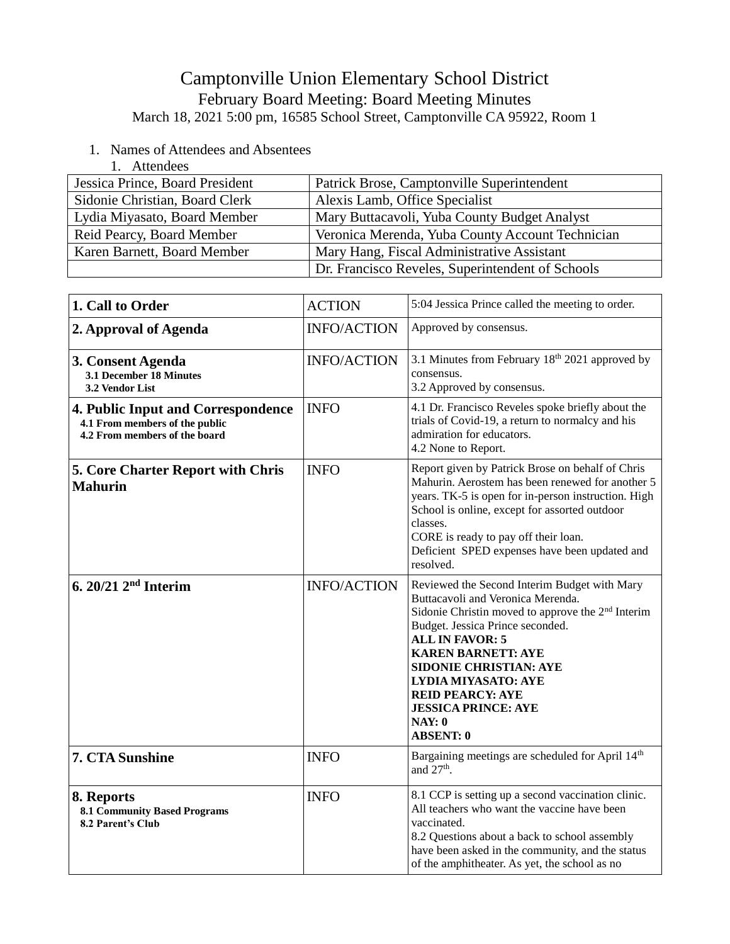## Camptonville Union Elementary School District February Board Meeting: Board Meeting Minutes

March 18, 2021 5:00 pm, 16585 School Street, Camptonville CA 95922, Room 1

- 1. Names of Attendees and Absentees
	- 1. Attendees

| Jessica Prince, Board President | Patrick Brose, Camptonville Superintendent       |
|---------------------------------|--------------------------------------------------|
| Sidonie Christian, Board Clerk  | Alexis Lamb, Office Specialist                   |
| Lydia Miyasato, Board Member    | Mary Buttacavoli, Yuba County Budget Analyst     |
| Reid Pearcy, Board Member       | Veronica Merenda, Yuba County Account Technician |
| Karen Barnett, Board Member     | Mary Hang, Fiscal Administrative Assistant       |
|                                 | Dr. Francisco Reveles, Superintendent of Schools |

| 1. Call to Order                                                                                             | <b>ACTION</b>      | 5:04 Jessica Prince called the meeting to order.                                                                                                                                                                                                                                                                                                                                                    |
|--------------------------------------------------------------------------------------------------------------|--------------------|-----------------------------------------------------------------------------------------------------------------------------------------------------------------------------------------------------------------------------------------------------------------------------------------------------------------------------------------------------------------------------------------------------|
| 2. Approval of Agenda                                                                                        | <b>INFO/ACTION</b> | Approved by consensus.                                                                                                                                                                                                                                                                                                                                                                              |
| 3. Consent Agenda<br>3.1 December 18 Minutes<br>3.2 Vendor List                                              | <b>INFO/ACTION</b> | 3.1 Minutes from February 18 <sup>th</sup> 2021 approved by<br>consensus.<br>3.2 Approved by consensus.                                                                                                                                                                                                                                                                                             |
| <b>4. Public Input and Correspondence</b><br>4.1 From members of the public<br>4.2 From members of the board | <b>INFO</b>        | 4.1 Dr. Francisco Reveles spoke briefly about the<br>trials of Covid-19, a return to normalcy and his<br>admiration for educators.<br>4.2 None to Report.                                                                                                                                                                                                                                           |
| 5. Core Charter Report with Chris<br><b>Mahurin</b>                                                          | <b>INFO</b>        | Report given by Patrick Brose on behalf of Chris<br>Mahurin. Aerostem has been renewed for another 5<br>years. TK-5 is open for in-person instruction. High<br>School is online, except for assorted outdoor<br>classes.<br>CORE is ready to pay off their loan.<br>Deficient SPED expenses have been updated and<br>resolved.                                                                      |
| 6. $20/21$ $2nd$ Interim                                                                                     | <b>INFO/ACTION</b> | Reviewed the Second Interim Budget with Mary<br>Buttacavoli and Veronica Merenda.<br>Sidonie Christin moved to approve the 2 <sup>nd</sup> Interim<br>Budget. Jessica Prince seconded.<br><b>ALL IN FAVOR: 5</b><br><b>KAREN BARNETT: AYE</b><br><b>SIDONIE CHRISTIAN: AYE</b><br><b>LYDIA MIYASATO: AYE</b><br><b>REID PEARCY: AYE</b><br><b>JESSICA PRINCE: AYE</b><br>NAY: 0<br><b>ABSENT: 0</b> |
| 7. CTA Sunshine                                                                                              | <b>INFO</b>        | Bargaining meetings are scheduled for April 14th<br>and $27th$ .                                                                                                                                                                                                                                                                                                                                    |
| 8. Reports<br><b>8.1 Community Based Programs</b><br><b>8.2 Parent's Club</b>                                | <b>INFO</b>        | 8.1 CCP is setting up a second vaccination clinic.<br>All teachers who want the vaccine have been<br>vaccinated.<br>8.2 Questions about a back to school assembly<br>have been asked in the community, and the status<br>of the amphitheater. As yet, the school as no                                                                                                                              |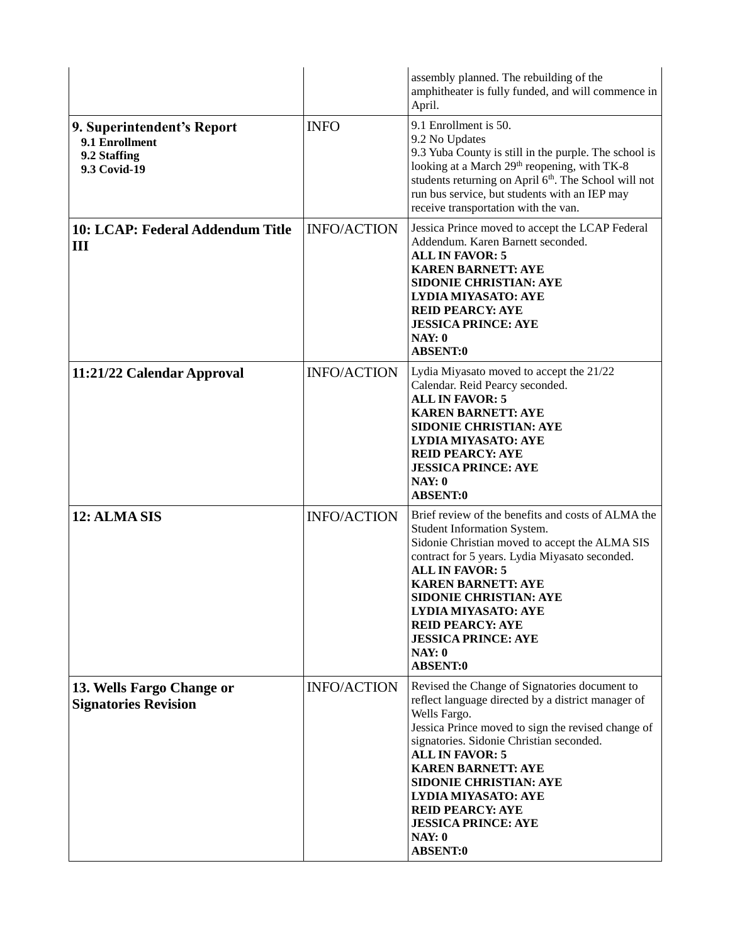|                                                                              |                    | assembly planned. The rebuilding of the<br>amphitheater is fully funded, and will commence in<br>April.                                                                                                                                                                                                                                                                                                                                  |
|------------------------------------------------------------------------------|--------------------|------------------------------------------------------------------------------------------------------------------------------------------------------------------------------------------------------------------------------------------------------------------------------------------------------------------------------------------------------------------------------------------------------------------------------------------|
| 9. Superintendent's Report<br>9.1 Enrollment<br>9.2 Staffing<br>9.3 Covid-19 | <b>INFO</b>        | 9.1 Enrollment is 50.<br>9.2 No Updates<br>9.3 Yuba County is still in the purple. The school is<br>looking at a March 29 <sup>th</sup> reopening, with TK-8<br>students returning on April 6th. The School will not<br>run bus service, but students with an IEP may<br>receive transportation with the van.                                                                                                                            |
| 10: LCAP: Federal Addendum Title<br>Ш                                        | <b>INFO/ACTION</b> | Jessica Prince moved to accept the LCAP Federal<br>Addendum. Karen Barnett seconded.<br><b>ALL IN FAVOR: 5</b><br><b>KAREN BARNETT: AYE</b><br><b>SIDONIE CHRISTIAN: AYE</b><br><b>LYDIA MIYASATO: AYE</b><br><b>REID PEARCY: AYE</b><br><b>JESSICA PRINCE: AYE</b><br>NAY: 0<br><b>ABSENT:0</b>                                                                                                                                         |
| 11:21/22 Calendar Approval                                                   | <b>INFO/ACTION</b> | Lydia Miyasato moved to accept the 21/22<br>Calendar. Reid Pearcy seconded.<br><b>ALL IN FAVOR: 5</b><br><b>KAREN BARNETT: AYE</b><br><b>SIDONIE CHRISTIAN: AYE</b><br><b>LYDIA MIYASATO: AYE</b><br><b>REID PEARCY: AYE</b><br><b>JESSICA PRINCE: AYE</b><br>NAY: 0<br><b>ABSENT:0</b>                                                                                                                                                  |
| 12: ALMA SIS                                                                 | <b>INFO/ACTION</b> | Brief review of the benefits and costs of ALMA the<br>Student Information System.<br>Sidonie Christian moved to accept the ALMA SIS<br>contract for 5 years. Lydia Miyasato seconded.<br><b>ALL IN FAVOR: 5</b><br><b>KAREN BARNETT: AYE</b><br><b>SIDONIE CHRISTIAN: AYE</b><br><b>LYDIA MIYASATO: AYE</b><br><b>REID PEARCY: AYE</b><br><b>JESSICA PRINCE: AYE</b><br>NAY: 0<br><b>ABSENT:0</b>                                        |
| 13. Wells Fargo Change or<br><b>Signatories Revision</b>                     | <b>INFO/ACTION</b> | Revised the Change of Signatories document to<br>reflect language directed by a district manager of<br>Wells Fargo.<br>Jessica Prince moved to sign the revised change of<br>signatories. Sidonie Christian seconded.<br><b>ALL IN FAVOR: 5</b><br><b>KAREN BARNETT: AYE</b><br><b>SIDONIE CHRISTIAN: AYE</b><br><b>LYDIA MIYASATO: AYE</b><br><b>REID PEARCY: AYE</b><br><b>JESSICA PRINCE: AYE</b><br><b>NAY: 0</b><br><b>ABSENT:0</b> |